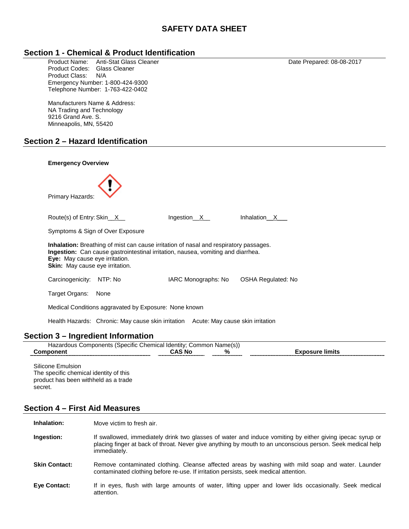# **SAFETY DATA SHEET**

## **Section 1 - Chemical & Product Identification**

Product Name: Anti-Stat Glass Cleaner (1999) 2012 12:30 12:30 2017<br>Product Codes: Glass Cleaner (1999) 2014 2022 12:30 2014 12:30 2017 Product Codes: Product Class: N/A Emergency Number: 1-800-424-9300 Telephone Number: 1-763-422-0402

Manufacturers Name & Address: NA Trading and Technology 9216 Grand Ave. S. Minneapolis, MN, 55420

### **Section 2 – Hazard Identification**



## **Section 3 – Ingredient Information**

| $\cdots$<br>Chemical<br>∴ommon<br>. Identity <sup>.</sup><br>OUS<br>ecific<br>∴∩r<br>nooner<br>wа<br>nts<br>15DE<br>51 |    |                  |  |
|------------------------------------------------------------------------------------------------------------------------|----|------------------|--|
| _________                                                                                                              | NΟ | $^{\circ}$<br>70 |  |

Silicone Emulsion The specific chemical identity of this product has been withheld as a trade secret.

## **Section 4 – First Aid Measures**

| Inhalation:          | Move victim to fresh air.                                                                                                                                                                                                               |
|----------------------|-----------------------------------------------------------------------------------------------------------------------------------------------------------------------------------------------------------------------------------------|
| Ingestion:           | If swallowed, immediately drink two glasses of water and induce vomiting by either giving ipecac syrup or<br>placing finger at back of throat. Never give anything by mouth to an unconscious person. Seek medical help<br>immediately. |
| <b>Skin Contact:</b> | Remove contaminated clothing. Cleanse affected areas by washing with mild soap and water. Launder<br>contaminated clothing before re-use. If irritation persists, seek medical attention.                                               |
| <b>Eve Contact:</b>  | If in eyes, flush with large amounts of water, lifting upper and lower lids occasionally. Seek medical<br>attention.                                                                                                                    |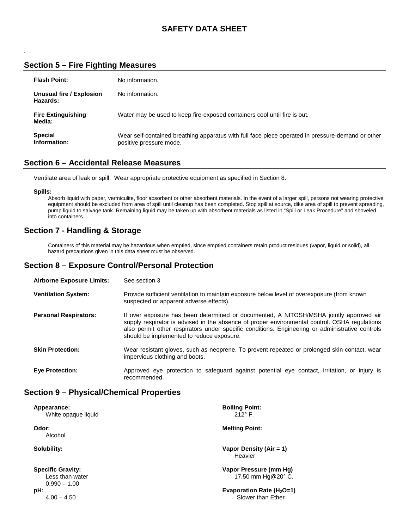# **SAFETY DATA SHEET**

# **Section 5 – Fire Fighting Measures**

| <b>Flash Point:</b>                  | No information.                                                                                                              |
|--------------------------------------|------------------------------------------------------------------------------------------------------------------------------|
| Unusual fire / Explosion<br>Hazards: | No information.                                                                                                              |
| <b>Fire Extinguishing</b><br>Media:  | Water may be used to keep fire-exposed containers cool until fire is out.                                                    |
| <b>Special</b><br>Information:       | Wear self-contained breathing apparatus with full face piece operated in pressure-demand or other<br>positive pressure mode. |

## **Section 6 – Accidental Release Measures**

Ventilate area of leak or spill. Wear appropriate protective equipment as specified in Section 8.

**Spills:**

.

Absorb liquid with paper, vermiculite, floor absorbent or other absorbent materials. In the event of a larger spill, persons not wearing protective equipment should be excluded from area of spill until cleanup has been completed. Stop spill at source, dike area of spill to prevent spreading, pump liquid to salvage tank. Remaining liquid may be taken up with absorbent materials as listed in "Spill or Leak Procedure" and shoveled into containers.

## **Section 7 - Handling & Storage**

Containers of this material may be hazardous when emptied, since emptied containers retain product residues (vapor, liquid or solid), all hazard precautions given in this data sheet must be observed.

## **Section 8 – Exposure Control/Personal Protection**

| <b>Airborne Exposure Limits:</b> | See section 3                                                                                                                                                                                                                                                                                                                           |
|----------------------------------|-----------------------------------------------------------------------------------------------------------------------------------------------------------------------------------------------------------------------------------------------------------------------------------------------------------------------------------------|
| <b>Ventilation System:</b>       | Provide sufficient ventilation to maintain exposure below level of overexposure (from known<br>suspected or apparent adverse effects).                                                                                                                                                                                                  |
| <b>Personal Respirators:</b>     | If over exposure has been determined or documented, A NITOSH/MSHA jointly approved air<br>supply respirator is advised in the absence of proper environmental control. OSHA regulations<br>also permit other respirators under specific conditions. Engineering or administrative controls<br>should be implemented to reduce exposure. |
| <b>Skin Protection:</b>          | Wear resistant gloves, such as neoprene. To prevent repeated or prolonged skin contact, wear<br>impervious clothing and boots.                                                                                                                                                                                                          |
| <b>Eye Protection:</b>           | Approved eye protection to safeguard against potential eye contact, irritation, or injury is<br>recommended.                                                                                                                                                                                                                            |

## **Section 9 – Physical/Chemical Properties**

| Appearance:<br>White opaque liquid                            | <b>Boiling Point:</b><br>$212^\circ$ F.            |
|---------------------------------------------------------------|----------------------------------------------------|
| Odor:<br>Alcohol                                              | <b>Melting Point:</b>                              |
| Solubility:                                                   | Vapor Density (Air = 1)<br>Heavier                 |
| <b>Specific Gravity:</b><br>Less than water<br>$0.990 - 1.00$ | Vapor Pressure (mm Hq)<br>17.50 mm Hg@20° C.       |
| pH:<br>$4.00 - 4.50$                                          | Evaporation Rate ( $H_2O=1$ )<br>Slower than Ether |